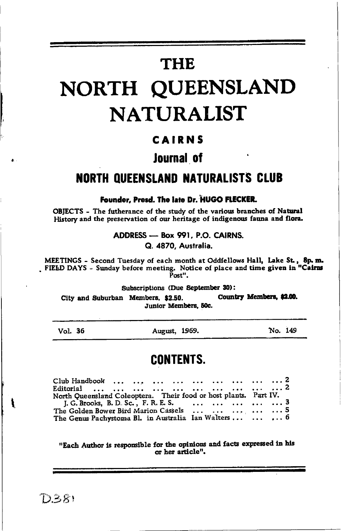# **THE**

# NORTH QUEENSLAND **NATURALIST**

# CAIRNS

# **Journal of**

# **NORTH OUEENSLAND NATURALISTS CLUB**

Founder, Presd. The late Dr. HUGO FLECKER.

OBIECTS - The futherance of the study of the various branches of Natural History and the preservation of our heritage of indigenous fauna and flora.

> ADDRESS - Box 991, P.O. CAIRNS. Q. 4870. Australia.

MEETINGS - Second Tuesday of each month at Oddfellows Hall, Lake St., 8p.m. FIELD DAYS - Sunday before meeting. Notice of place and time given in "Cairns Post".

Subscriptions (Due September 30):

Country Members, \$2.00. City and Suburban Members. \$2.50. Junior Members, 50c.

| Vol. | 36 |
|------|----|
|------|----|

August, 1969.

No. 149

# **CONTENTS.**

| North Queensland Coleoptera. Their food or host plants. Part IV. |  |
|------------------------------------------------------------------|--|
| <b>J. G. Brooks, B. D. Sc., F. R. E. S.</b> 3                    |  |
| The Golden Bower Bird Marion Cassels      5                      |  |
| The Genus Pachystoma Bl. in Australia Ian Walters    6           |  |

"Each Author is responsible for the opinions and facts expressed in his or her article".

 $D.381$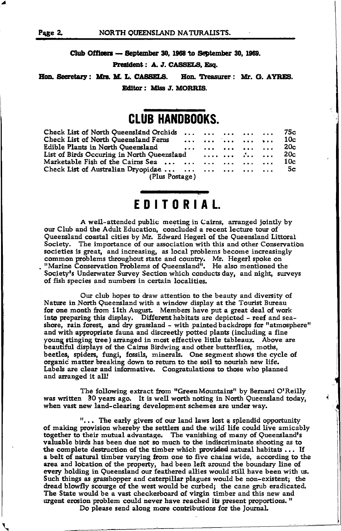Club Officers - September 30, 1968 to September 30, 1969.

President: A. J. CASSELS, Esq.

Hon. Secretary: Mrs. M. L. CASSELS. Hon. Treasurer: Mr. G. AYRES. Editor: Miss J. MORRIS.

# **CLUB HANDBOOKS.**

| Check List of North Queensland Orchids      75c             |  |  |  |     |  |
|-------------------------------------------------------------|--|--|--|-----|--|
| Check List of North Queensland Ferns      10c               |  |  |  |     |  |
| Edible Plants in North Queensland                           |  |  |  | 20c |  |
| List of Birds Occuring in North Queensland $\therefore$ 20c |  |  |  |     |  |
| Marketable Fish of the Cairns Sea       10c                 |  |  |  |     |  |
| Check List of Australian Dryopidae       5c                 |  |  |  |     |  |
| (Plus Postage)                                              |  |  |  |     |  |

# EDITORIAL.

A well-attended public meeting in Cairns, arranged jointly by our Club and the Adult Education, concluded a recent lecture tour of Queensland coastal cities by Mr. Edward Hegerl of the Queensland Littoral Society. The importance of our association with this and other Conservation societies is great, and increasing, as local problems become increasingly common problems throughout state and country. Mr. Hegerl spoke on "Marine Conservation Problems of Queensland". He also mentioned the Society's Underwater Survey Section which conducts day, and night, surveys of fish species and numbers in certain localities.

Our club hopes to draw attention to the beauty and diversity of Nature in North Queensland with a window display at the Tourist Bureau for one month from 11th August. Members have put a great deal of work into preparing this display. Different habitats are depicted - reef and seashore, rain forest, and dry grassland - with painted backdrops for "atmosphere" and with appropriate fauna and discreetly potted plants (including a fine young stinging tree) arranged in most effective little tableaux. Above are beautiful displays of the Cairns Birdwing and other butterflies, moths, beetles, spiders, fungi, fossils, minerals. One segment shows the cycle of organic matter breaking down to return to the soil to nourish new life. Labels are clear and informative. Congratulations to those who planned and arranged it all!

The following extract from "Green Mountains" by Bernard O'Reilly was written 30 years ago. It is well worth noting in North Queensland today, when vast new land-clearing development schemes are under way.

"... The early givers of our land laws lost a splendid opportunity of making provision whereby the settlers and the wild life could live amicably together to their mutual advantage. The vanishing of many of Queensland's valuable birds has been due not so much to the indiscriminate shooting as to the complete destruction of the timber which provided natural habitats ... If a belt of natural timber varying from one to five chains wide, according to the area and location of the property, had been left around the boundary line of every holding in Queensland our feathered allies would still have been with us. Such things as grasshopper and caterpillar plagues would be non-existent; the dread blowfly scourge of the west would be curbed; the cane grub eradicated. The State would be a vast checkerboard of virgin timber and this new and urgent erosion problem could never have reached its present proportions." Do please send along more contributions for the Journal.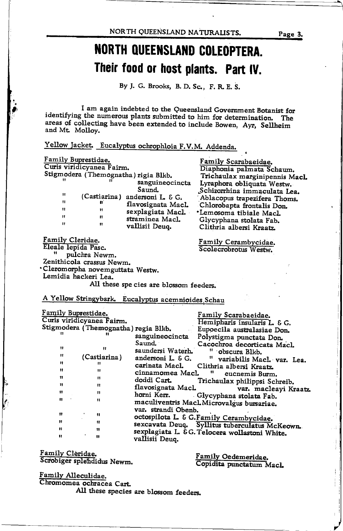NORTH QUEENSLAND NATURALISTS.

# NORTH QUEENSLAND COLEOPTERA. Their food or host plants. Part IV.

By J. G. Brooks, B. D. Sc., F. R. E. S.

I am again indebted to the Queensland Government Botanist for identifying the numerous plants submitted to him for determination. The areas of collecting have been extended to include Bowen, Ayr, Sellheim and Mt. Molloy.

Yellow Jacket. Eucalyptus ochrophloia F.V.M. Addenda.

| Family Buprestidae.  |                                 |                                                    | Family Scarabaeidae.                           |
|----------------------|---------------------------------|----------------------------------------------------|------------------------------------------------|
|                      | Curis viridicyanea Fairm.       |                                                    | Diaphonia palmata Schaum.                      |
|                      |                                 | Stigmodera (Themognatha) rigia Blkb.               |                                                |
|                      |                                 |                                                    | Trichaulax marginipennis Macl.                 |
|                      |                                 | sanguineocincta                                    | Lyraphora obliquata Westw.                     |
| 11                   |                                 | Saund.                                             | Schizorrhina immaculata Lea.                   |
|                      | (Castiarina)                    | andersoni L. & G.                                  | Ablacopus trapezifera Thoms.                   |
| Ħ                    | n                               | flavosignata Macl.                                 | Chlorobapta frontalis Don.                     |
| Ħ                    | Ħ                               | sexplagiata Macl.                                  | *Lemosoma tibiale Macl.                        |
| Ħ                    | n                               | straminea Macl.                                    | Glycyphana stolata Fab.                        |
| Ħ                    | 11                              | vallisii Deuq.                                     | Clithria albersi Kraatz.                       |
|                      |                                 |                                                    |                                                |
| Family Cleridae.     |                                 |                                                    |                                                |
|                      |                                 |                                                    | Family Cerambycidae.                           |
| Eleale lepida Pasc.  |                                 |                                                    | Scolecrobrotus Westw.                          |
|                      | pulchra Newm.                   |                                                    |                                                |
|                      | Zenithicola crassus Newm.       |                                                    |                                                |
|                      | Cleromorpha novemguttata Westw. |                                                    |                                                |
| Lemidia hackeri Lea. |                                 |                                                    |                                                |
|                      |                                 | All these species are blossom feeders.             |                                                |
|                      |                                 |                                                    |                                                |
|                      |                                 |                                                    |                                                |
|                      |                                 | A Yellow Stringybark. Eucalyptus acemnioides Schau |                                                |
|                      |                                 |                                                    |                                                |
| Family Buprestidae.  |                                 |                                                    | Family Scarabaeidae.                           |
|                      | Curis viridicyanea Fairm.       |                                                    | Hemipharis insularis L. & G.                   |
|                      |                                 | Stigmodera (Themognatha) regia Blkb.               | Eupoecila australasiae Don.                    |
| 'n                   |                                 | sanguineocincta                                    |                                                |
|                      |                                 | Saund.                                             | Polystigma punctata Don.                       |
| 11                   | Ħ                               |                                                    | Cacochroa decorticata Macl.                    |
| Ħ                    |                                 | saundersi Waterh.                                  | obscura Blkb.                                  |
|                      | (Castiarina)                    | andersoni L. & G.                                  | variabilis Macl. var. Lea.                     |
| n                    | 11                              | carinata MacL                                      | Clithria albersi Kraatz.                       |
| 11                   | "                               | cinnamomea MacL                                    | n<br>eucnemis Burm.                            |
| 11                   | 11                              | doddi Cart.                                        | Trichaulax philippsi Schreib.                  |
| Ħ                    | Ħ                               | flavosignata MacL                                  |                                                |
| 11                   | n                               |                                                    | var. macleayi Kraatz.                          |
| Ħ                    | Ħ                               | horni Kerr.                                        | Glycyphana stolata Fab.                        |
|                      |                                 |                                                    | maculiventris MacLMicrovalgus bursariae.       |
|                      |                                 | var. strandi Obenb.                                |                                                |
| 11                   | 11                              |                                                    | octospilota L. & G.Family Cerambycidae.        |
| Ħ                    | "                               |                                                    |                                                |
| Ħ                    | 11                              |                                                    | sexcavata Deuq. Syllitus tuberculatus McKeown. |
| $\mathbf{u}$         | 11                              |                                                    | sexplagiata L. & G. Telocera wollastoni White. |
|                      |                                 | vallisii Deuq.                                     |                                                |
|                      |                                 |                                                    |                                                |

Family Cleridae. Scrobiger splendidus Newm.

Family Oedemeridae.<br>Copidita punctatum Macl.

Family Alleculidae. Chromomea ochracea Cart.

All these species are blossom feeders.

Page 3.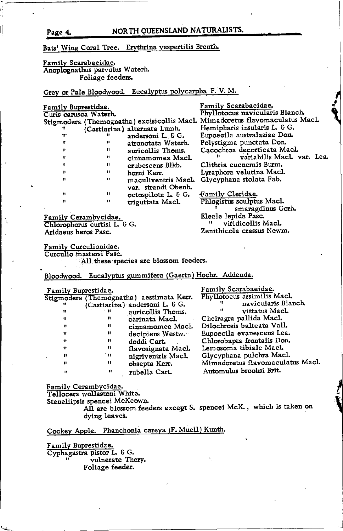Page 4. NORTH QUEENSLAND NATURALISTS.

### Bats' Wing Coral Tree. Erythrina vespertilis Brenth.

 $\begin{array}{cc} \n\text{''} & \text{(Casti,)} \n\end{array}$  alternata Lumh. r rr andersoni L & G.<br>rr rr attencted water rr tr attonotata Waterh.<br>Principal distribution in the contract of the contract of the contract of the contract of the contract of the rrequently auticollis Thoms.<br>In the companion Magnus rret to the cinnamomea Macl.<br>references and the complete and the contract of the contract of the contract of the contract of the contract o

 $\begin{array}{ccc}\n\mathbf{r} & \mathbf{r} \\
\mathbf{r} & \mathbf{r}\n\end{array}$ 

 $r = \frac{r}{2}$ <br>representative definition of  $r = \frac{1}{2}$ 

### Familv Scarabaeidae. Anoplognathus parvulus Waterh. Foliage feeders.

Grey or Pale Bloodwood. Eucalyptus polycarpha F. V. M.

 $r = \frac{r}{r}$  erubescens Blkb.

maculiventris Maol. var. strandi Obenb.

triguttata Macl.

#### Family Buprestidae. Curis carusca Waterh.

Stigmodera (Themognatha) excisicollis Macl. Mimadoretus flavomaculatus Macl. FamiLy Scarabaeidae. Phyllotocus navicularis Blanch. Hemipharis insularis L. & G. Eupoecila australasiae Dor, Polystigma punctata Don. Cacochroa decorticata Macl.<br>" variabilis Macl. var. Lea. Clithria eucnemis Burm. Lyraphora velutina MacL Glycyphana stolata Fab.

> Family Cleridae.<br>Phlogistus sculptus Macl.<br>"smaragdinus Gorh. Eleale lepida Pasc.<br>" vitidicollis MacL

Zenithicola crassus Newm.

Family Cerambycidae. Chlorophorus curtisi L. & G. Aridaeus heros Pasc.

Family Curculionidae. Curculio mastersi Pasc.

All these species are blossom feeders.

Bloodwood. Eucalyptus gummifera (Gaertn) Hochr. Addenda.

| Family Buprestidae. |                |                                          | Family Scarabaeidae.             |
|---------------------|----------------|------------------------------------------|----------------------------------|
|                     |                | Stigmodera (Themognatha) aestimata Kerr. | Phyllotocus assimilis Macl.      |
|                     |                | (Castiarina) andersoni L. & G.           | navicularis Blanch.<br>11.       |
| Ħ                   | - 11           | auricollis Thoms.                        | vittatus Macl.<br>11             |
| n                   | n              | carinata Macl.                           | Cheiragra pallida Macl.          |
| 11                  | 11             | cinnamomea Macl.                         | Dilochrosis balteata Vall.       |
| Ħ                   | $\blacksquare$ | decipiens Westw.                         | Eupoecila evanescens Lea.        |
| $\mathbf{H}$        | 11             | doddi Cart.                              | Chlorobapta frontalis Don.       |
| 11                  | ņ              | flavosignata Macl.                       | Lemosoma tibiale Macl.           |
| ш                   | ` H            | nigriventris Macl.                       | Glycyphana pulchra Macl.         |
| $^{\bullet}$        | "              | obsepta Kerr.                            | Mimadoretus flavomaculatus Macl. |
| $^{\rm{ii}}$        |                | rubella Cart.                            | Automulus brooksi Brit.          |

Family Cerambycidae.<br>Tellocera wollastoni White.

Stenellipsis spencei McKeown.

All are blossom feeders except S. spencei McK., which is taken on dying leaves.

## Cockey Apple. Phanchonia careya (F. Muell) Kunth.

Familv Buprestidae. Cyphagastra pistor L. & G. vulnerate Thery. Foliage feeder.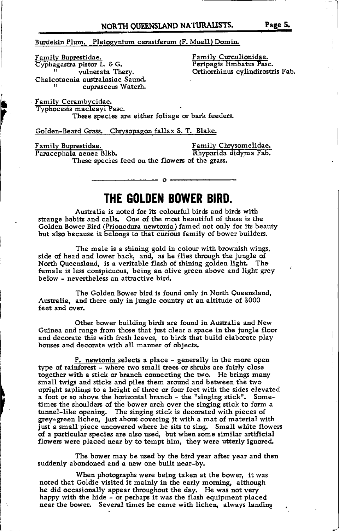Burdekin Plum. Pleiogynium cerasiferum (F. Muell) Domin

Familv Buprestidae. Cyphagastra pistor L & G.<br>" vulnerata Thery. Chalcotaenia australasiae Saund. cuprasceus Waterh.

<u>Family Curculionidae</u> Peripagis limbatus Pasc. Orthorrhinus cylindirostris Fab.

Family Cerambycidae. Typhocesis macleayi Pasc. These species are either foliage or bark feeders.

Golden-Beard Grass. Chrvsopagon fallax S. T. Blake.

Family Buprestidae.

í,

Family Chrysomelidae. Rhyparida didyrna Fab.

These species feed on the flowers of the grass. Paracephala aenea Blkb.

# THE GOLDEN BOWER BIRD.

Australia is noted for its colourful birds and birds with strange habits and cells. One of the most beautiful of these is the Golden Bower Bird (Prionodura newtonia ) famed not only for its beauty but a'lso because it belongs to that curious family of bower builders.

The male is a shining gold in colour with brownish wings, side of head and lower back, and, as he flies through the jungle of North Queensland, is a veritable flash of shining golden light. The female is less conspicuous, being an olive green above and light grey below - nevertheless an attractive bird.

The Golden Bower bird is found only in North Queensland, Australia, and there only in jungle country at an altitude of 3000 feet and over.

Other bower building birds are found in Australia and New Guinea and range from those that just clear a space in the jungle floor and decorate this with fresh leaves, to birds that build elaborate play houses and decorate with all manner of objects.

P. newtonia selects a place - generally in the more open type of rainforest - where two small trees or shrubs are fairly close together with a stick or branch connecting the two. He brings many small twigs and sticks and piles them around and between the two upright saplings to a height of three or four feet with the sides elevated a foot or so above the horizontal branch - the "singing stick". Sometimes the shoulders of the bower arch over the singing stick to form a tunnel-like opening. The singing stick is decorated with pieces of grey-green lichen, just about covering it with a mat of material with just a small piece uncovered where he sits to sing. Small white flowers of a particular species are also used, but when some similar artificial flowers were placed near by to tempt him, they were utterly ignored.

The bower may be used by the bird year after year and then suddenly abondoned and a new one built near-by.

When photographs were being taken at the bower, it was noted that Goldie visited it mainly in the early monring, although he did occasionally appear throughout the day. He was not very happy with the hide - or perhaps it was the flash eguipment placed near the bower. Several times he came with lichen, always landing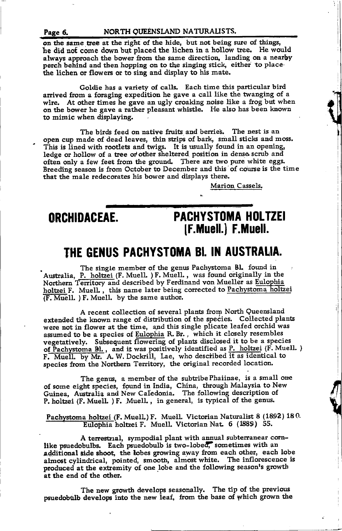on the game tree at the right of the hide, but not being sure of things, he did not come down but placed the lichen in a hollow tree. He would always approach the bower from the same direction, landing on a nearby perch behind and then hopping on to the singing stic\ either to place' the lichen or flowers or to sing and display to his mate.

Goldie has a variety of calls. Each time this particular bird arrived from a foraging expedition he gave a call like the twanging of a wire. At other times he gave an ugly croaking noise like a frog but when on the bower he gave a tather pleasant whistle. He also has been known to mimic when displaying.

The birds feed on native fruits and berries. The nest is an open cup made of dead leaves, tlin strips of bark, small sticks and moss. This is lined with rootlets and twigs. It is usually found in an opening, ledge or hollow of a tree or other sheltered position in dense scrub and often only a few feet from the ground. There are two pure white eggs. Breeding season is from October to December and this of course is the time that the male redecorates his bower and displays there.

Mariou Cassels.

'l

**index** 

r

fr

**Y** 

I

# ORCHIDACEAE. PACHYSTOMA HOLTZEI (F.Muell.) F.Muell.

# THE GENUS PACHYSTOMA BI. IN AUSTRALIA.

The single member of the genus Pachystoma Bl. found in Australia, P. holtzei (F. Muell. ) F. Muell., was found originally in the Northern Territory and described by Ferdinand von Mueller as Eulophia holtzei F. Muell., this name later being corrected to Pachystoma holtzei  $\overline{F. \text{ Muell.}}$  ) F. Muell. by the same author.

A recent collection of several plants from North Queensland extended the known range of distribution of the species. Collected plants were not in flower at the time, apd this single plicate leafed orchid was assumed to be a species of Eulophia R. Br., which it closely resembles vegetatively. Subsequent flowering of plants disclosed it to be a species of Pachystoma Bl., and it was positively identified as P. holtzei (F. Muell.) F. Muell. by Mr. A. W. Dockrill, Lae, who described it as identical to species from the Northern Territory, the original recorded location.

The genus, a member of the subtribe Phaiinae, is a small one of some eight species, found in India, China, through Malaysia to New Guinea, Australia and New Caledonia. The following description of P. holtzei (F. Muell. ) F. Muell., in general, is typical of the genus.

Pachystoma holtzei (F. Muell.) F. Muell. Victorian Naturalist 8 (1892) 18 0.<br>Eulophia holtzei F. Muell. Victorian Nat. 6 (1889) 55.

A terrestrial, sympodial plant with annual subterranear cornlike psuedobulbs. Each psuedobulb is two-lobed, sometimes with an additional side shoot, the lobes growing away from each other, each lobe almost cylindrical, pointed, smooth, almost white. The inflorescence is produced at the extremity of one lobe and the following season's growth at the end of the other.

The new growth develops seasonally. The tip of the previous psuedobulb develops into the new leaf, from the base of which grown the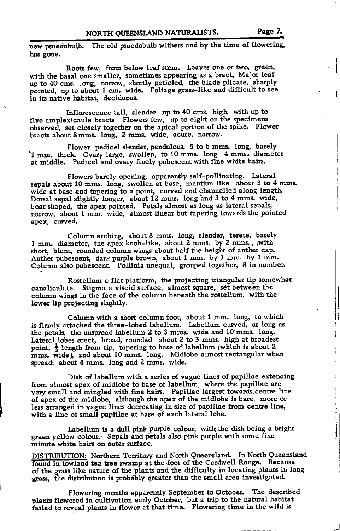new psuedubulb. The old psuedobulb withers and by the time of flowering, has gone.

up to 40 cms. long, narrow, shortly petioled, the blade plicate, sharply Roots few, from below leaf stem. Leaves one or two, green, with the basal one smaller, sometimes appearing as a bract, Major leaf pointed, up to about 1 cm. wide. Foliage grass-like and difficult to see in its native habitat. deciduous.

Inflorescence tall, slender up to  $40$  cms. high, with up to five amplexicaule bracts  $\overline{F}$ lowers few, up to eight on the specimens observed, set closely together on the apical portion of the spike. Flower bracts about 8 mms. long, 2 mms. wide, acute, narrow.

Flower pedicel slender, pendulous, 5 to 6 mms. long, barely '1 mm. thick. Ovary large, swollen, to 10 mms. long 4 mms. diameter at middle. Pedicel and ovary finely pubescent with fine white hairs.

Flowers barely opening, apparentlyself-pollinating. Iateral sepals about 10 mms. long, swollen at base, mantum like about 3 to 4 mms. wide at base and tapering to a point, curved and channelled along length.<br>Dorsal sepal slightly longer, about 12 mms. long and 3 to 4 mms. wide, boat shaped, the apex pointed. Petals almost as long as lateral sepals; narrow, about 1 mm. wide, almost linear but tapering towards the pointed apex, curved.

Column arching, about 8 mms. long, slender, terete, barely 1 mm. diameter, the apex knob-like, about 2 mms. by 2 mms., with short, blunt, rounded column wings about half the height of anther cap. Anther pubescent, dark purple brown, about 1 mm. by 1 mm. by 1 mm. Column also pubescent. Pollinia unequal, grouped together, 8 in number.

Rostellum a flat platform, the projecting triangular tip somewhat canaliculate. Stigma a viscid surface, almost square, set between the column wings in the face of the column beneath the rostellum, with the lower lip projecting slightly.

Column with a short column foot, about  $1 \text{ mm}$ . long, to which is firmly attached the three-lobed labellum. Labellum cutved, as long as the petals, the unspread labellum 2 to 3 mms. wide and 1O mms. long. Lateral lobes erect, broad, rounded about 2 to 3 mms. high at broadest point,  $\frac{1}{3}$  length from tip, tapering to base of labellum (which is about 2 mms. wide), and about 10 mms. long. Midlobe almost rectangular when spread, about 4 mms. long and 2 mms. wide.

Disk of labellum with a series of vague lines of papillae extending from almost apex of midlobe to base of labellum, where the papillae are very small and mingled with fine hairs. Papillae largest towards.centre lioe of apex of the midlobe, although the apex of the midlobe is bare, more or less arranged in vague lines decreasing in size of papillae from centre line, with a line of small'papillae at base of each lateral lobe.

I

Labellum is a dull pink purple colour, with the disk being a bright green yellow colour. Sepals and petals also pink purple with some fine minute white hairs on outer surface.

DISTRIBUTION: Northern Territory and North Queensland. In North Queensland found in lowland tea tree swamp at the foot of the Cardwell Range. Because of the grass like nature of the plants and the difficulty in locating plants in long grass, the distribution is probably greater than the small area investigated.

Flowering months apparently September to October. The described plants flowered in cultivation early October, but a trip to the natural habitat failed to reveal plants in flower at that time. Flowering time in the wild is

ÌI.

)